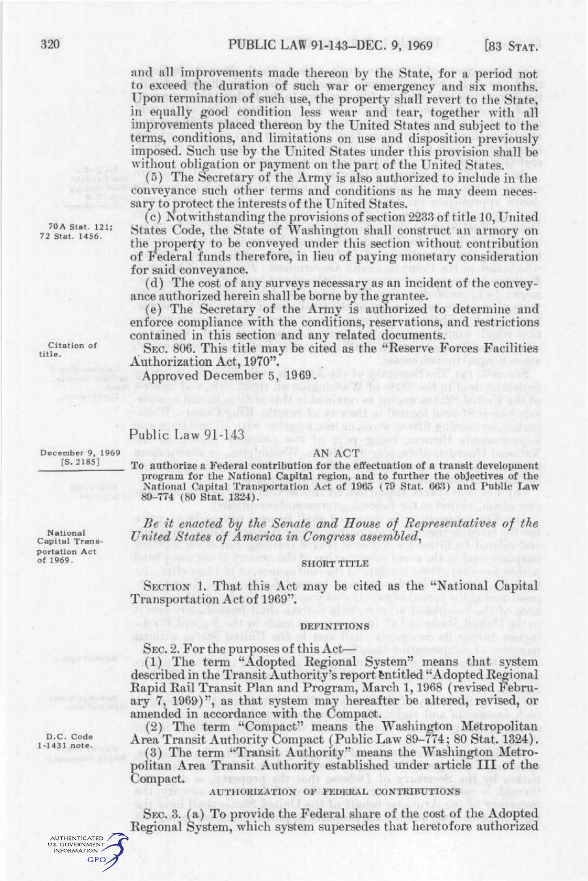and all improvements made thereon by the State, for a period not to exceed the duration of such war or emergency and six months. Upon termination of such use, the property shall revert to the State, in equally good condition less wear and tear, together with all improvements placed thereon by the United States and subject to the terms, conditions, and limitations on use and disposition previously imposed. Such use by the United States under this provision shall be without obligation or payment on the part of the United States.

(5) The Secretary of the Army is also authorized to include in the conveyance such other terms and conditions as he may deem necessary to protect the interests of the United States.

(c) Notwithstanding the provisions of section 2233 of title 10, United States Code, the State of Washington shall construct an armory on the property to be conveyed under this section without contribution of Federal funds therefore, in lieu of paying monetary consideration for said conveyance.

(d) The cost of any surveys necessary as an incident of the conveyance authorized herein shall be borne by the grantee.

(e) The Secretary of the Army is authorized to determine and enforce compliance with the conditions, reservations, and restrictions contained in this section and any related documents.

SEC. 806. This title may be cited as the "Reserve Forces Facilities Authorization Act, 1970".

Approved December 5, 1969.

#### Public Law 91-143

December 9, 1969 [S.2185]

#### AN ACT

To authorize a Federal contribution for the effectuation of a transit development program for the National Capital region, and to further the objectives of the National Capital Transportation Act of 1965 (79 Stat. 663) and Public Law 89-774 (80 Stat. 1324).

*Be it enacted hy the Senate and House of Representatives of the United States of America in Congress assembled^* 

#### SHORT TITLE

SECTION 1. That this Act may be cited as the "National Capital Transportation Act of 1969".

#### DEFINITIONS

SEC. 2. For the purposes of this Act—

(1) The term "Adopted Eegional System" means that system described in the Transit Authority's report Entitled "Adopted Regional Rapid Rail Transit Plan and Program, March 1,1968 (revised February 7, 1969)", as that system may hereafter be altered, revised, or amended in accordance with the Compact.

(2) The term "Compact" means the Washington Metropolitan Area Transit Authority Compact (Public Law 89-774; 80 Stat. 1324).

(3) The term "Transit Authority" means the Washington Metropolitan Area Transit Authority established under article III of the Compact.

#### AUTHORIZATION OF FEDERAL CONTRIBUTIONS

SEC. 3. (a) To provide the Federal share of the cost of the Adopted Regional System, which system supersedes that heretofore authorized

70A Stat. 121; 72 Stat. 1456.

Citation of title.

Capital Transportation Act of 1969.

National

**AUTHENTICATED U.S. GOVERNMENT INFORMATION GPO**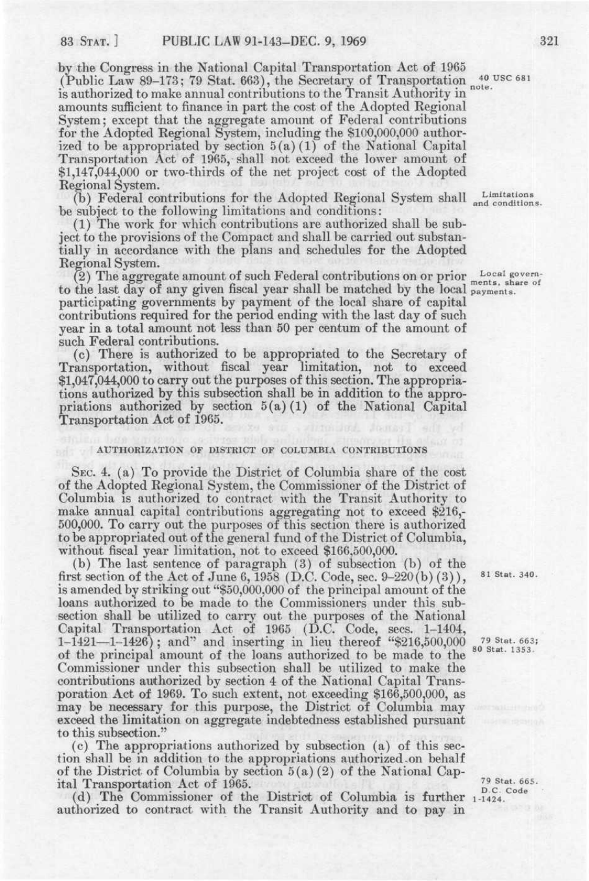by the Congress in the National Capital Transportation Act of 1965 (Public Law 89-173; 79 Stat. 663), the Secretary of Transportation <sup>40 USC 681</sup> is authorized to make annual contributions to the Transit Authority in amounts sufficient to finance in part the cost of the Adopted Regional System; except that the aggregate amount of Federal contributions for the Adopted Regional System, including the \$100,000,000 authorized to be appropriated by section  $5(a)(1)$  of the National Capital Transportation Act of 1965, shall not exceed the lower amount of \$1,147,044,000 or two-thirds of the net project cost of the Adopted Regional System.

(b) Federal contributions for the Adopted Regional System shall Limitations. be subject to the following limitations and conditions:

(1) The work for which contributions are authorized shall be subject to the provisions of the Compact and shall be carried out substantially in accordance with the plans and schedules for the Adopted Regional System.

(2) The aggregate amount of such Federal contributions on or prior Local governto the last day of any given fiscal year shall be matched by the local payments. participating governments by payment of the local share of capital contributions required for the period ending with the last day of such contributions required for the period ending with the last day of such<br>vear in a total amount not less than 50 per centum of the amount of year in a total amount not less than 50 per centum of the amount of<br>such Federal contributions. such Federal contributions.<br>(c) There is authorized to be appropriated to the Secretary of

Transportation, without fiscal year limitation, not to exceed  $$1,047,044,000$  to carry out the purposes of this section. The appropria-\$1,047,044,000 to carry out the purposes of this section. The appropria-<br>tions authorized by this subsection shall be in addition to the approtions authorized by this subsection shall be in addition to the appro-<br>printions, authorized by section  $5(a)(1)$  of the National Capital priations authorized by section  $5(a)(1)$  of the National Capital Transportation Act of 1965.

#### AUTHORIZATION OF DISTRICT OF COLUMBIA CONTRIBUTIONS

SEC. 4. (a) To provide the District of Columbia share of the cost of the Adopted Regional System, the Commissioner of the District of Columbia is authorized to contract with the Transit Authority to make annual capital contributions aggregating not to exceed \$216,- 500,000. To carry out the purposes of this section there is authorized to be appropriated out of the general fund of the District of Columbia, without fiscal year limitation, not to exceed \$166,500,000.

(b) The last sentence of paragraph (3) of subsection (b) of the first section of the Act of June 6, 1958 (D.C. Code, sec.  $9-220(b)(3)$ ),  $81$  Stat. 340. is amended by striking out "\$50,000,000 of the principal amount of the loans authorized to be made to the Commissioners under this subsection shall be utilized to carry out the purposes of the National Capital Transportation Act of 1965 (D.C. Code, sees, 1-1404,  $1-\overline{1}421-1-1426$ ; and" and inserting in lieu thereof "\$216,500,000"  $\frac{79 \text{ Stat. }6631}{\text{Stat. }1353}$ of the principal amount of the loans authorized to be made to the <sup>80 Stat. 1353</sup> Commissioner under this subsection shall be utilized to make the contributions authorized by section 4 of the National Capital Transporation Act of 1969. To such extent, not exceeding \$166,500,000, as may be necessary for this purpose, the District of Columbia may exceed the limitation on aggregate indebtedness established pursuant to this subsection."

(c) The appropriations authorized by subsection (a) of this section shall be in addition to the appropriations authorized .on behalf of the District of Columbia by section  $5(a)(2)$  of the National Capital Transportation Act of 1965. The code of  $\frac{79 \text{ Stat. }665}{\text{D.C. }Code}$ 

(d) The Commissioner of the District of Columbia is further 11424. authorized to contract with the Transit Authority and to pay in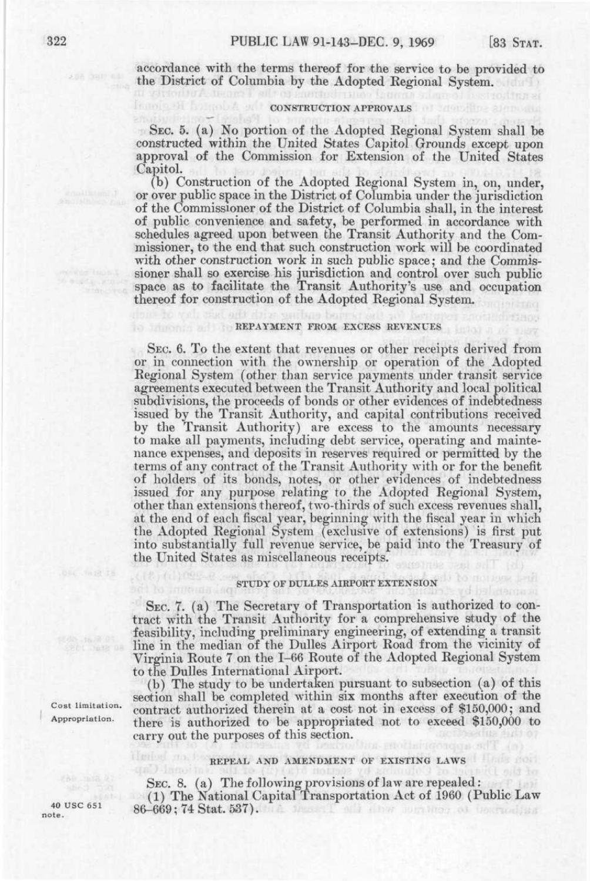accordance with the terms thereof for the service to be provided to the District of Columbia by the Adopted Regional System.

## **CONSTRUCTION APPROVALS**

SEC. 5. (a) No portion of the Adopted Regional System shall be constructed within the United States Capitol Grounds except upon approval of the Commission for Extension of the United States Capitol.

(b) Construction of the Adopted Regional System in, on, under, or over public space in the District of Columbia under the jurisdiction of the Commissioner of the District of Columbia shall, in the interest of public convenience and safety, be performed in accordance with schedules agreed upon between the Transit Authority and the Commissioner, to the end that such construction work will be coordinated with other construction work in such public space; and the Commissioner shall so exercise his jurisdiction and control over such public space as to facilitate the Transit Authority's use and occupation thereof for construction of the Adopted Regional System.

#### REPAYMENT FROM EXCESS REVENUES

SEC. 6. To the extent that revenues or other receipts derived from or in connection with the ownership or operation of the Adopted Regional System (other than service payments under transit service agreements executed between the Transit Authority and local political subdivisions, the proceeds of bonds or other evidences of indebtedness issued by the Transit Authority, and capital contributions received by the Transit Authority) are excess to the amounts necessary to make all payments, including debt service, operating and maintenance expenses, and deposits in reserves required or permitted by the terms of any contract of the Transit Authority with or for the benefit of holders of its bonds, notes, or other evidences of indebtedness issued for any purpose relating to the Adopted Regional System, other than extensions thereof, two-thirds of such excess revenues shall, at the end of each fiscal year, beginning with the fiscal year in which the Adopted Regional System (exclusive of extensions) is first put into substantially full revenue service, be paid into the Treasury of the United States as miscellaneous receipts.

### STUDY OF DULLES AIRPORT EXTENSION

SEC. 7. (a) The Secretary of Transportation is authorized to contract with the Transit Authority for a comprehensive study of the feasibility, including preliminary engineering, of extending a transit line in the median of the Dulles Airport Road from the vicinity of Virginia Route 7 on the 1-66 Route of the Adopted Regional System to the Dulles International Airport.

(b) The study to be undertaken pursuant to subsection (a) of this section shall be completed within six months after execution of the  $\frac{Cost\text{ limitation.}}{Chprorphism}$  contract authorized therein at a cost not in excess of \$150,000; and  $\frac{F(3,0)}{F(3,0)}$ there is authorized to be appropriated not to exceed \$150,000 to carry out the purposes of this section.

## REPEAL AND AMENDMENT OF EXISTING LAWS

SEC. 8. (a) The following provisions of law are repealed: (1) The National Capital Transportation Act of 1960 (Public Law 40 USC 651 86-669; 74 Stat. 537).

7633 08